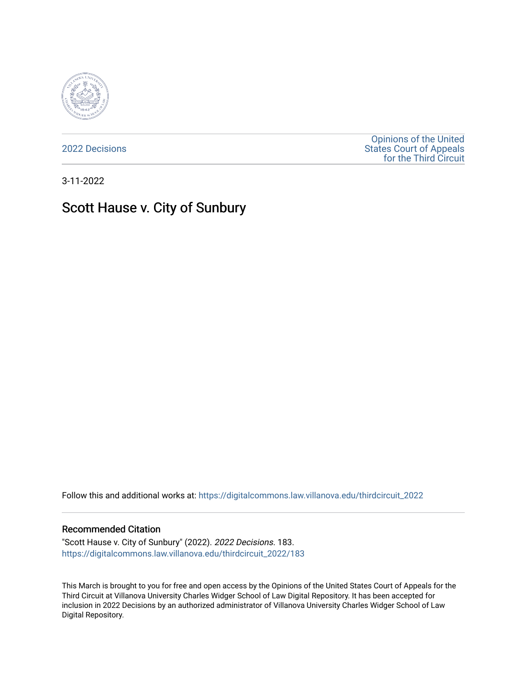

[2022 Decisions](https://digitalcommons.law.villanova.edu/thirdcircuit_2022)

[Opinions of the United](https://digitalcommons.law.villanova.edu/thirdcircuit)  [States Court of Appeals](https://digitalcommons.law.villanova.edu/thirdcircuit)  [for the Third Circuit](https://digitalcommons.law.villanova.edu/thirdcircuit) 

3-11-2022

# Scott Hause v. City of Sunbury

Follow this and additional works at: [https://digitalcommons.law.villanova.edu/thirdcircuit\\_2022](https://digitalcommons.law.villanova.edu/thirdcircuit_2022?utm_source=digitalcommons.law.villanova.edu%2Fthirdcircuit_2022%2F183&utm_medium=PDF&utm_campaign=PDFCoverPages) 

#### Recommended Citation

"Scott Hause v. City of Sunbury" (2022). 2022 Decisions. 183. [https://digitalcommons.law.villanova.edu/thirdcircuit\\_2022/183](https://digitalcommons.law.villanova.edu/thirdcircuit_2022/183?utm_source=digitalcommons.law.villanova.edu%2Fthirdcircuit_2022%2F183&utm_medium=PDF&utm_campaign=PDFCoverPages)

This March is brought to you for free and open access by the Opinions of the United States Court of Appeals for the Third Circuit at Villanova University Charles Widger School of Law Digital Repository. It has been accepted for inclusion in 2022 Decisions by an authorized administrator of Villanova University Charles Widger School of Law Digital Repository.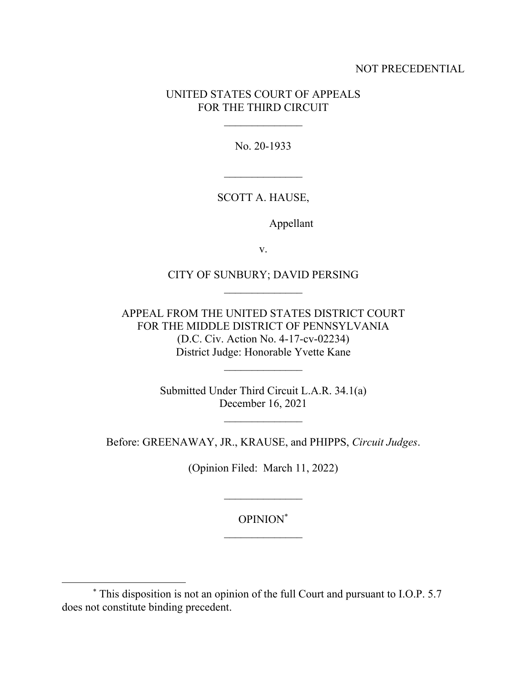## NOT PRECEDENTIAL

## UNITED STATES COURT OF APPEALS FOR THE THIRD CIRCUIT

No. 20-1933

## SCOTT A. HAUSE,

Appellant

v.

# CITY OF SUNBURY; DAVID PERSING

APPEAL FROM THE UNITED STATES DISTRICT COURT FOR THE MIDDLE DISTRICT OF PENNSYLVANIA (D.C. Civ. Action No. 4-17-cv-02234) District Judge: Honorable Yvette Kane

> Submitted Under Third Circuit L.A.R. 34.1(a) December 16, 2021

> > $\mathcal{L}_\text{max}$

Before: GREENAWAY, JR., KRAUSE, and PHIPPS, *Circuit Judges*.

(Opinion Filed: March 11, 2022)

OPINION\*

<sup>\*</sup> This disposition is not an opinion of the full Court and pursuant to I.O.P. 5.7 does not constitute binding precedent.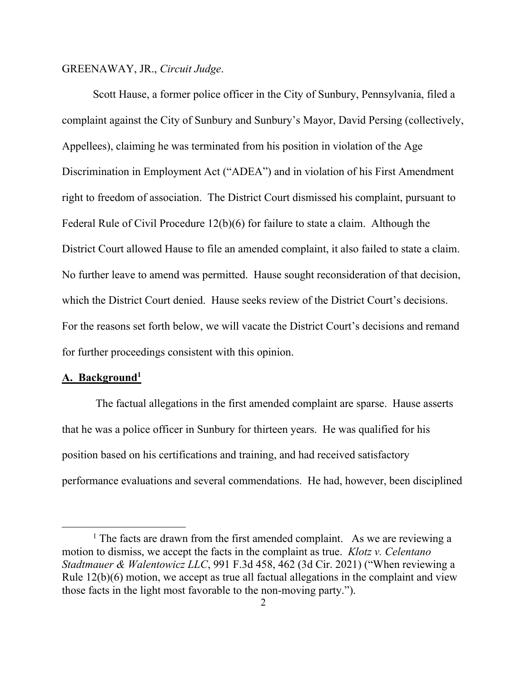#### GREENAWAY, JR., *Circuit Judge*.

 Scott Hause, a former police officer in the City of Sunbury, Pennsylvania, filed a complaint against the City of Sunbury and Sunbury's Mayor, David Persing (collectively, Appellees), claiming he was terminated from his position in violation of the Age Discrimination in Employment Act ("ADEA") and in violation of his First Amendment right to freedom of association. The District Court dismissed his complaint, pursuant to Federal Rule of Civil Procedure 12(b)(6) for failure to state a claim. Although the District Court allowed Hause to file an amended complaint, it also failed to state a claim. No further leave to amend was permitted. Hause sought reconsideration of that decision, which the District Court denied. Hause seeks review of the District Court's decisions. For the reasons set forth below, we will vacate the District Court's decisions and remand for further proceedings consistent with this opinion.

#### **A. Background1**

 The factual allegations in the first amended complaint are sparse. Hause asserts that he was a police officer in Sunbury for thirteen years. He was qualified for his position based on his certifications and training, and had received satisfactory performance evaluations and several commendations. He had, however, been disciplined

<sup>&</sup>lt;sup>1</sup> The facts are drawn from the first amended complaint. As we are reviewing a motion to dismiss, we accept the facts in the complaint as true. *Klotz v. Celentano Stadtmauer & Walentowicz LLC*, 991 F.3d 458, 462 (3d Cir. 2021) ("When reviewing a Rule 12(b)(6) motion, we accept as true all factual allegations in the complaint and view those facts in the light most favorable to the non-moving party.").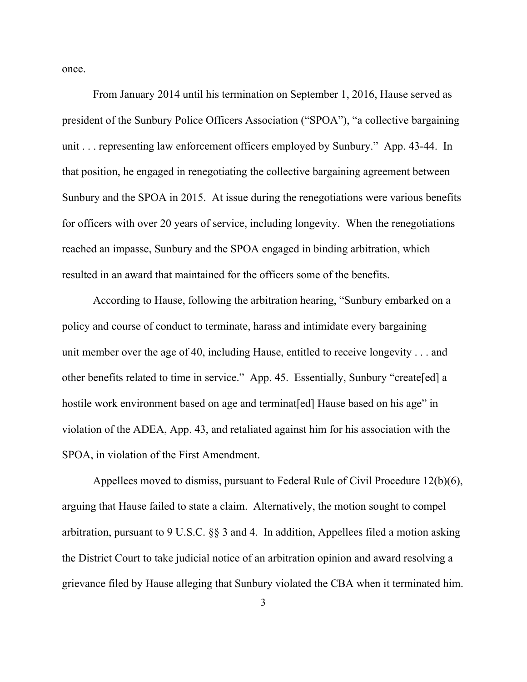once.

 From January 2014 until his termination on September 1, 2016, Hause served as president of the Sunbury Police Officers Association ("SPOA"), "a collective bargaining unit . . . representing law enforcement officers employed by Sunbury." App. 43-44. In that position, he engaged in renegotiating the collective bargaining agreement between Sunbury and the SPOA in 2015. At issue during the renegotiations were various benefits for officers with over 20 years of service, including longevity. When the renegotiations reached an impasse, Sunbury and the SPOA engaged in binding arbitration, which resulted in an award that maintained for the officers some of the benefits.

 According to Hause, following the arbitration hearing, "Sunbury embarked on a policy and course of conduct to terminate, harass and intimidate every bargaining unit member over the age of 40, including Hause, entitled to receive longevity . . . and other benefits related to time in service." App. 45. Essentially, Sunbury "create[ed] a hostile work environment based on age and terminat [ed] Hause based on his age" in violation of the ADEA, App. 43, and retaliated against him for his association with the SPOA, in violation of the First Amendment.

 Appellees moved to dismiss, pursuant to Federal Rule of Civil Procedure 12(b)(6), arguing that Hause failed to state a claim. Alternatively, the motion sought to compel arbitration, pursuant to 9 U.S.C. §§ 3 and 4. In addition, Appellees filed a motion asking the District Court to take judicial notice of an arbitration opinion and award resolving a grievance filed by Hause alleging that Sunbury violated the CBA when it terminated him.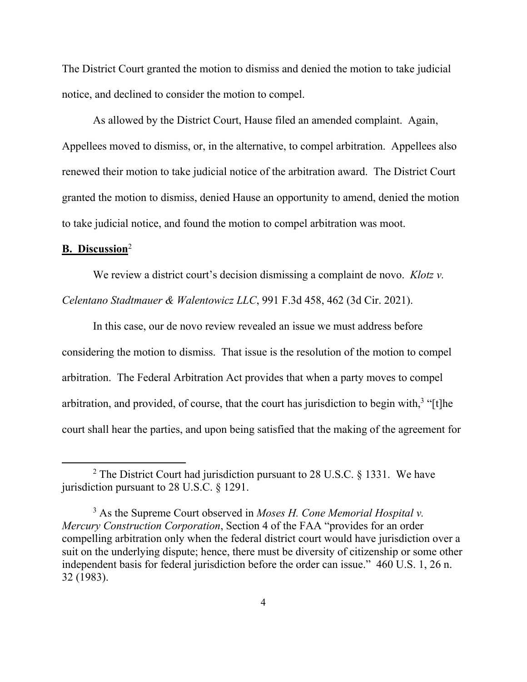The District Court granted the motion to dismiss and denied the motion to take judicial notice, and declined to consider the motion to compel.

 As allowed by the District Court, Hause filed an amended complaint. Again, Appellees moved to dismiss, or, in the alternative, to compel arbitration. Appellees also renewed their motion to take judicial notice of the arbitration award. The District Court granted the motion to dismiss, denied Hause an opportunity to amend, denied the motion to take judicial notice, and found the motion to compel arbitration was moot.

## **B. Discussion**<sup>2</sup>

We review a district court's decision dismissing a complaint de novo. *Klotz v.* 

*Celentano Stadtmauer & Walentowicz LLC*, 991 F.3d 458, 462 (3d Cir. 2021).

 In this case, our de novo review revealed an issue we must address before considering the motion to dismiss. That issue is the resolution of the motion to compel arbitration. The Federal Arbitration Act provides that when a party moves to compel arbitration, and provided, of course, that the court has jurisdiction to begin with, $3$  "[t]he court shall hear the parties, and upon being satisfied that the making of the agreement for

<sup>&</sup>lt;sup>2</sup> The District Court had jurisdiction pursuant to 28 U.S.C. § 1331. We have jurisdiction pursuant to 28 U.S.C. § 1291.

<sup>3</sup> As the Supreme Court observed in *Moses H. Cone Memorial Hospital v. Mercury Construction Corporation*, Section 4 of the FAA "provides for an order compelling arbitration only when the federal district court would have jurisdiction over a suit on the underlying dispute; hence, there must be diversity of citizenship or some other independent basis for federal jurisdiction before the order can issue." 460 U.S. 1, 26 n. 32 (1983).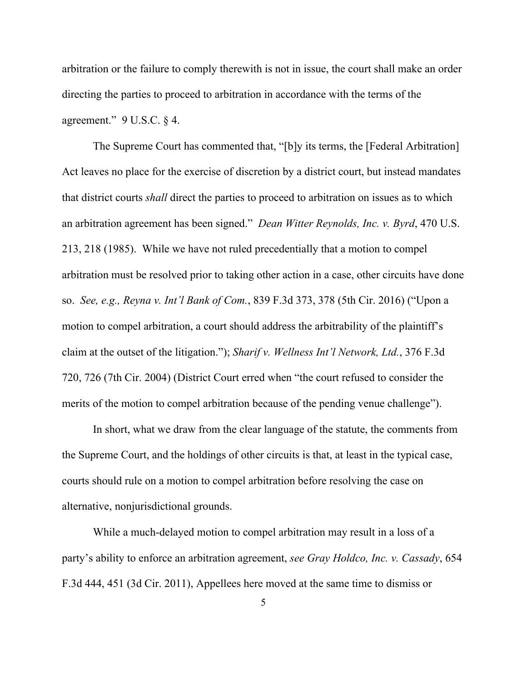arbitration or the failure to comply therewith is not in issue, the court shall make an order directing the parties to proceed to arbitration in accordance with the terms of the agreement."  $9 \text{ U.S.C. } § 4$ .

 The Supreme Court has commented that, "[b]y its terms, the [Federal Arbitration] Act leaves no place for the exercise of discretion by a district court, but instead mandates that district courts *shall* direct the parties to proceed to arbitration on issues as to which an arbitration agreement has been signed." *Dean Witter Reynolds, Inc. v. Byrd*, 470 U.S. 213, 218 (1985). While we have not ruled precedentially that a motion to compel arbitration must be resolved prior to taking other action in a case, other circuits have done so. *See, e.g., Reyna v. Int'l Bank of Com.*, 839 F.3d 373, 378 (5th Cir. 2016) ("Upon a motion to compel arbitration, a court should address the arbitrability of the plaintiff's claim at the outset of the litigation."); *Sharif v. Wellness Int'l Network, Ltd.*, 376 F.3d 720, 726 (7th Cir. 2004) (District Court erred when "the court refused to consider the merits of the motion to compel arbitration because of the pending venue challenge").

 In short, what we draw from the clear language of the statute, the comments from the Supreme Court, and the holdings of other circuits is that, at least in the typical case, courts should rule on a motion to compel arbitration before resolving the case on alternative, nonjurisdictional grounds.

 While a much-delayed motion to compel arbitration may result in a loss of a party's ability to enforce an arbitration agreement, *see Gray Holdco, Inc. v. Cassady*, 654 F.3d 444, 451 (3d Cir. 2011), Appellees here moved at the same time to dismiss or